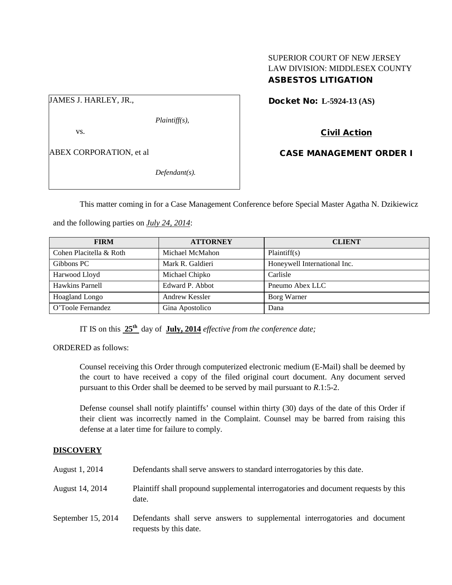### SUPERIOR COURT OF NEW JERSEY LAW DIVISION: MIDDLESEX COUNTY ASBESTOS LITIGATION

JAMES J. HARLEY, JR.,

*Plaintiff(s),*

vs.

ABEX CORPORATION, et al

*Defendant(s).*

Docket No: **L-5924-13 (AS)** 

Civil Action

CASE MANAGEMENT ORDER I

This matter coming in for a Case Management Conference before Special Master Agatha N. Dzikiewicz

and the following parties on *July 24, 2014*:

| <b>FIRM</b>             | <b>ATTORNEY</b>  | <b>CLIENT</b>                |
|-------------------------|------------------|------------------------------|
| Cohen Placitella & Roth | Michael McMahon  | Plaintiff(s)                 |
| Gibbons PC              | Mark R. Galdieri | Honeywell International Inc. |
| Harwood Lloyd           | Michael Chipko   | Carlisle                     |
| Hawkins Parnell         | Edward P. Abbot  | Pneumo Abex LLC              |
| Hoagland Longo          | Andrew Kessler   | Borg Warner                  |
| O'Toole Fernandez       | Gina Apostolico  | Dana                         |

IT IS on this **25th** day of **July, 2014** *effective from the conference date;*

ORDERED as follows:

Counsel receiving this Order through computerized electronic medium (E-Mail) shall be deemed by the court to have received a copy of the filed original court document. Any document served pursuant to this Order shall be deemed to be served by mail pursuant to *R*.1:5-2.

Defense counsel shall notify plaintiffs' counsel within thirty (30) days of the date of this Order if their client was incorrectly named in the Complaint. Counsel may be barred from raising this defense at a later time for failure to comply.

## **DISCOVERY**

| August 1, 2014     | Defendants shall serve answers to standard interrogatories by this date.                              |
|--------------------|-------------------------------------------------------------------------------------------------------|
| August 14, 2014    | Plaintiff shall propound supplemental interrogatories and document requests by this<br>date.          |
| September 15, 2014 | Defendants shall serve answers to supplemental interrogatories and document<br>requests by this date. |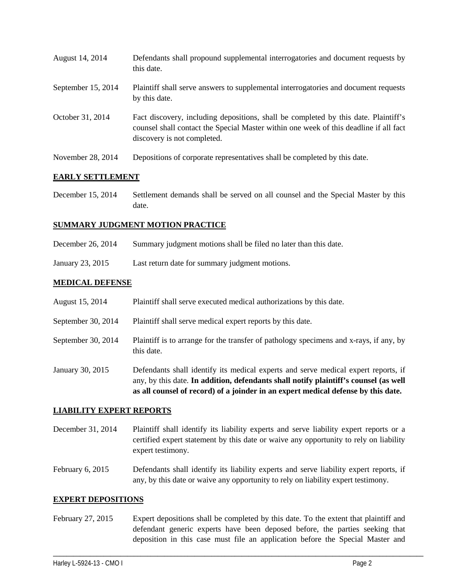| August 14, 2014    | Defendants shall propound supplemental interrogatories and document requests by<br>this date.                                                                                                               |
|--------------------|-------------------------------------------------------------------------------------------------------------------------------------------------------------------------------------------------------------|
| September 15, 2014 | Plaintiff shall serve answers to supplemental interrogatories and document requests<br>by this date.                                                                                                        |
| October 31, 2014   | Fact discovery, including depositions, shall be completed by this date. Plaintiff's<br>counsel shall contact the Special Master within one week of this deadline if all fact<br>discovery is not completed. |
| November 28, 2014  | Depositions of corporate representatives shall be completed by this date.                                                                                                                                   |

#### **EARLY SETTLEMENT**

December 15, 2014 Settlement demands shall be served on all counsel and the Special Master by this date.

#### **SUMMARY JUDGMENT MOTION PRACTICE**

- December 26, 2014 Summary judgment motions shall be filed no later than this date.
- January 23, 2015 Last return date for summary judgment motions.

### **MEDICAL DEFENSE**

- August 15, 2014 Plaintiff shall serve executed medical authorizations by this date.
- September 30, 2014 Plaintiff shall serve medical expert reports by this date.
- September 30, 2014 Plaintiff is to arrange for the transfer of pathology specimens and x-rays, if any, by this date.
- January 30, 2015 Defendants shall identify its medical experts and serve medical expert reports, if any, by this date. **In addition, defendants shall notify plaintiff's counsel (as well as all counsel of record) of a joinder in an expert medical defense by this date.**

#### **LIABILITY EXPERT REPORTS**

- December 31, 2014 Plaintiff shall identify its liability experts and serve liability expert reports or a certified expert statement by this date or waive any opportunity to rely on liability expert testimony.
- February 6, 2015 Defendants shall identify its liability experts and serve liability expert reports, if any, by this date or waive any opportunity to rely on liability expert testimony.

#### **EXPERT DEPOSITIONS**

February 27, 2015 Expert depositions shall be completed by this date. To the extent that plaintiff and defendant generic experts have been deposed before, the parties seeking that deposition in this case must file an application before the Special Master and

\_\_\_\_\_\_\_\_\_\_\_\_\_\_\_\_\_\_\_\_\_\_\_\_\_\_\_\_\_\_\_\_\_\_\_\_\_\_\_\_\_\_\_\_\_\_\_\_\_\_\_\_\_\_\_\_\_\_\_\_\_\_\_\_\_\_\_\_\_\_\_\_\_\_\_\_\_\_\_\_\_\_\_\_\_\_\_\_\_\_\_\_\_\_\_\_\_\_\_\_\_\_\_\_\_\_\_\_\_\_